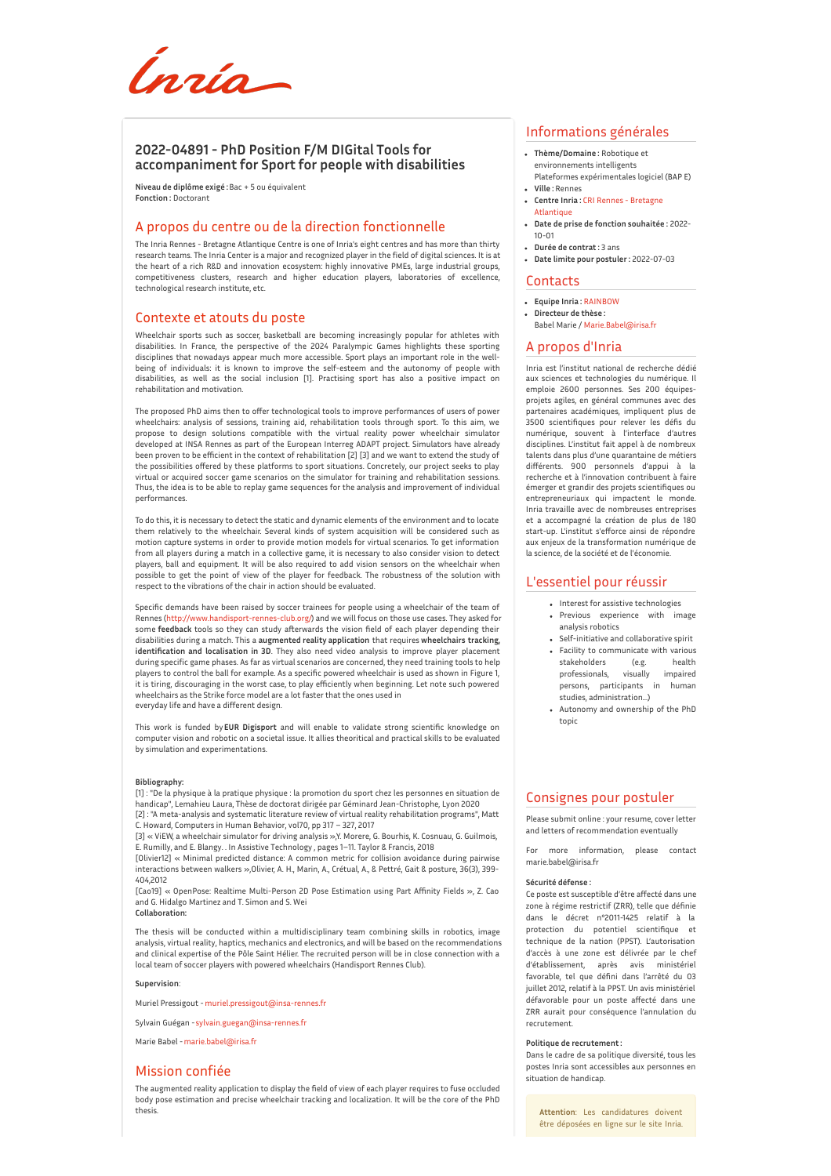Ínría-

# **2022-04891 - PhD Position F/M DIGital Tools for accompaniment for Sport for people with disabilities**

**Niveau de diplôme exigé :**Bac + 5 ou équivalent **Fonction :** Doctorant

## A propos du centre ou de la direction fonctionnelle

The Inria Rennes - Bretagne Atlantique Centre is one of Inria's eight centres and has more than thirty research teams. The Inria Center is a major and recognized player in the field of digital sciences. It is at the heart of a rich R&D and innovation ecosystem: highly innovative PMEs, large industrial groups, competitiveness clusters, research and higher education players, laboratories of excellence, technological research institute, etc.

#### Contexte et atouts du poste

Wheelchair sports such as soccer, basketball are becoming increasingly popular for athletes with disabilities. In France, the perspective of the 2024 Paralympic Games highlights these sporting disciplines that nowadays appear much more accessible. Sport plays an important role in the wellbeing of individuals: it is known to improve the self-esteem and the autonomy of people with disabilities, as well as the social inclusion [1]. Practising sport has also a positive impact on rehabilitation and motivation.

The proposed PhD aims then to offer technological tools to improve performances of users of power wheelchairs: analysis of sessions, training aid, rehabilitation tools through sport. To this aim, we propose to design solutions compatible with the virtual reality power wheelchair simulator developed at INSA Rennes as part of the European Interreg ADAPT project. Simulators have already been proven to be efficient in the context of rehabilitation [2] [3] and we want to extend the study of the possibilities offered by these platforms to sport situations. Concretely, our project seeks to play virtual or acquired soccer game scenarios on the simulator for training and rehabilitation sessions. Thus, the idea is to be able to replay game sequences for the analysis and improvement of individual performances.

To do this, it is necessary to detect the static and dynamic elements of the environment and to locate them relatively to the wheelchair. Several kinds of system acquisition will be considered such as motion capture systems in order to provide motion models for virtual scenarios. To get information from all players during a match in a collective game, it is necessary to also consider vision to detect players, ball and equipment. It will be also required to add vision sensors on the wheelchair when possible to get the point of view of the player for feedback. The robustness of the solution with respect to the vibrations of the chair in action should be evaluated.

Specific demands have been raised by soccer trainees for people using a wheelchair of the team of Rennes [\(http://www.handisport-rennes-club.org/](http://www.handisport-rennes-club.org/)) and we will focus on those use cases. They asked for some **feedback** tools so they can study afterwards the vision field of each player depending their disabilities during a match. This a **augmented reality application** that requires **wheelchairs tracking, identification and localisation in 3D**. They also need video analysis to improve player placement during specific game phases. As far as virtual scenarios are concerned, they need training tools to help players to control the ball for example. As a specific powered wheelchair is used as shown in Figure 1, it is tiring, discouraging in the worst case, to play efficiently when beginning. Let note such powered wheelchairs as the Strike force model are a lot faster that the ones used in everyday life and have a different design.

This work is funded by **EUR Digisport** and will enable to validate strong scientific knowledge on computer vision and robotic on a societal issue. It allies theoritical and practical skills to be evaluated by simulation and experimentations.

#### **Bibliography:**

[1] : "De la physique à la pratique physique : la promotion du sport chez les personnes en situation de handicap", Lemahieu Laura, Thèse de doctorat dirigée par Géminard Jean-Christophe, Lyon 2020 [2] : "A meta-analysis and systematic literature review of virtual reality rehabilitation programs", Matt

C. Howard, Computers in Human Behavior, vol70, pp 317 – 327, 2017 [3] « ViEW, a wheelchair simulator for driving analysis »,Y. Morere, G. Bourhis, K. Cosnuau, G. Guilmois, E. Rumilly, and E. Blangy. . In Assistive Technology , pages 1–11. Taylor & Francis, 2018

[Olivier12] « Minimal predicted distance: A common metric for collision avoidance during pairwise interactions between walkers »,Olivier, A. H., Marin, A., Crétual, A., & Pettré, Gait & posture, 36(3), 399- 404,2012

[Cao19] « OpenPose: Realtime Multi-Person 2D Pose Estimation using Part Affinity Fields », Z. Cao and G. Hidalgo Martinez and T. Simon and S. Wei **Collaboration:**

The thesis will be conducted within a multidisciplinary team combining skills in robotics, image analysis, virtual reality, haptics, mechanics and electronics, and will be based on the recommendations and clinical expertise of the Pôle Saint Hélier. The recruited person will be in close connection with a local team of soccer players with powered wheelchairs (Handisport Rennes Club).

#### **Supervision**:

Muriel Pressigout - [muriel.pressigout@insa-rennes.fr](mailto:muriel.pressigout@insa-rennes.fr)

Sylvain Guégan -[sylvain.guegan@insa-rennes.fr](mailto:sylvain.guegan@insa-rennes.fr)

Marie Babel -[marie.babel@irisa.fr](mailto:marie.babel@irisa.fr)

#### Mission confiée

The augmented reality application to display the field of view of each player requires to fuse occluded body pose estimation and precise wheelchair tracking and localization. It will be the core of the PhD thesis.

# Informations générales

- **Thème/Domaine :** Robotique et environnements intelligents Plateformes expérimentales logiciel (BAP E)
- **Ville :** Rennes
- **Centre Inria :** CRI Rennes [Bretagne](http://www.inria.fr/centre/rennes) **Atlantique**
- **Date de prise de fonction souhaitée :** 2022- 10-01
- **Durée de contrat :** 3 ans **Date limite pour postuler :** 2022-07-03
- Contacts

- **Equipe Inria :** [RAINBOW](https://www.inria.fr/equipes/RAINBOW) **Directeur de thèse :**
- Babel Marie / [Marie.Babel@irisa.fr](mailto:Marie.Babel@irisa.fr)

## A propos d'Inria

Inria est l'institut national de recherche dédié aux sciences et technologies du numérique. Il emploie 2600 personnes. Ses 200 équipesprojets agiles, en général communes avec des partenaires académiques, impliquent plus de 3500 scientifiques pour relever les défis du numérique, souvent à l'interface d'autres disciplines. L'institut fait appel à de nombreux talents dans plus d'une quarantaine de métiers différents. 900 personnels d'appui à la recherche et à l'innovation contribuent à faire émerger et grandir des projets scientifiques ou entrepreneuriaux qui impactent le monde. Inria travaille avec de nombreuses entreprises et a accompagné la création de plus de 180 start-up. L'institut s'efforce ainsi de répondre aux enjeux de la transformation numérique de la science, de la société et de l'économie.

## L'essentiel pour réussir

- Interest for assistive technologies Previous experience with image analysis robotics
- Self-initiative and collaborative spirit
- Facility to communicate with various stakeholders (e.g. health<br>professionals, visually impaired professionals, visually impaired persons, participants in human studies, administration…)
- Autonomy and ownership of the PhD topic

## Consignes pour postuler

Please submit online : your resume, cover letter and letters of recommendation eventually

For more information, please contact marie.babel@irisa.fr

#### **Sécurité défense :**

Ce poste est susceptible d'être affecté dans une zone à régime restrictif (ZRR), telle que définie dans le décret n°2011-1425 relatif à la protection du potentiel scientifique et technique de la nation (PPST). L'autorisation d'accès à une zone est délivrée par le chef d'établissement, après avis ministériel favorable, tel que défini dans l'arrêté du 03 juillet 2012, relatif à la PPST. Un avis ministériel défavorable pour un poste affecté dans une ZRR aurait pour conséquence l'annulation du recrutement.

#### **Politique de recrutement :**

Dans le cadre de sa politique diversité, tous les postes Inria sont accessibles aux personnes en situation de handicap.

**Attention**: Les candidatures doivent être déposées en ligne sur le site Inria.